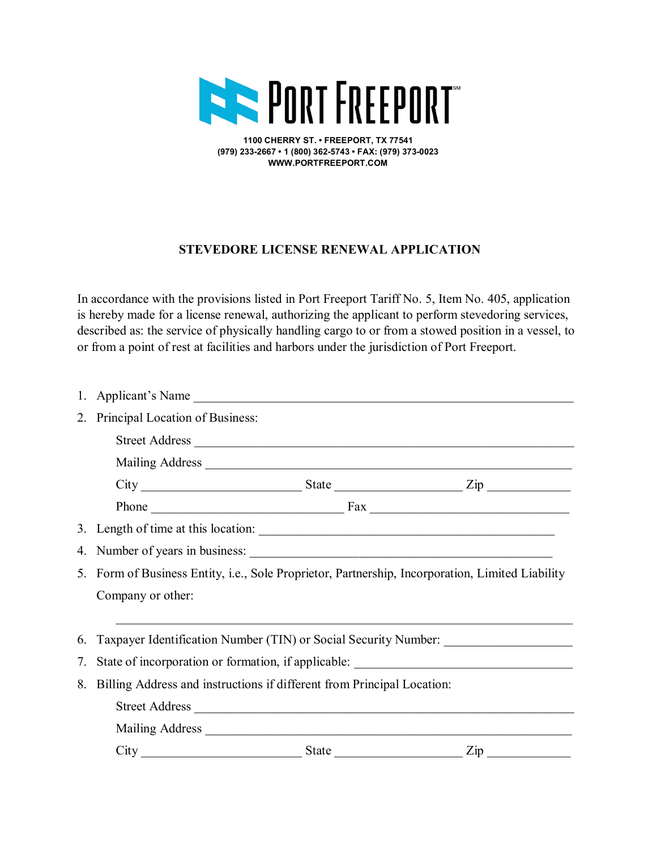

**1100 CHERRY ST. • FREEPORT, TX 77541 (979) 233-2667 • 1 (800) 362-5743 • FAX: (979) 373-0023 WWW.PORTFREEPORT.COM**

## **STEVEDORE LICENSE RENEWAL APPLICATION**

In accordance with the provisions listed in Port Freeport Tariff No. 5, Item No. 405, application is hereby made for a license renewal, authorizing the applicant to perform stevedoring services, described as: the service of physically handling cargo to or from a stowed position in a vessel, to or from a point of rest at facilities and harbors under the jurisdiction of Port Freeport.

|    |                                                                                                  | 1. Applicant's Name |                |  |  |  |  |
|----|--------------------------------------------------------------------------------------------------|---------------------|----------------|--|--|--|--|
|    | 2. Principal Location of Business:                                                               |                     |                |  |  |  |  |
|    |                                                                                                  |                     |                |  |  |  |  |
|    |                                                                                                  |                     |                |  |  |  |  |
|    |                                                                                                  |                     |                |  |  |  |  |
|    |                                                                                                  |                     |                |  |  |  |  |
|    |                                                                                                  |                     |                |  |  |  |  |
|    | 4. Number of years in business:                                                                  |                     |                |  |  |  |  |
|    | 5. Form of Business Entity, i.e., Sole Proprietor, Partnership, Incorporation, Limited Liability |                     |                |  |  |  |  |
|    | Company or other:                                                                                |                     |                |  |  |  |  |
|    | 6. Taxpayer Identification Number (TIN) or Social Security Number:                               |                     |                |  |  |  |  |
| 7. | State of incorporation or formation, if applicable: _____________________________                |                     |                |  |  |  |  |
|    | 8. Billing Address and instructions if different from Principal Location:                        |                     |                |  |  |  |  |
|    | Street Address                                                                                   |                     |                |  |  |  |  |
|    | Mailing Address                                                                                  |                     |                |  |  |  |  |
|    |                                                                                                  |                     | $\mathsf{Zip}$ |  |  |  |  |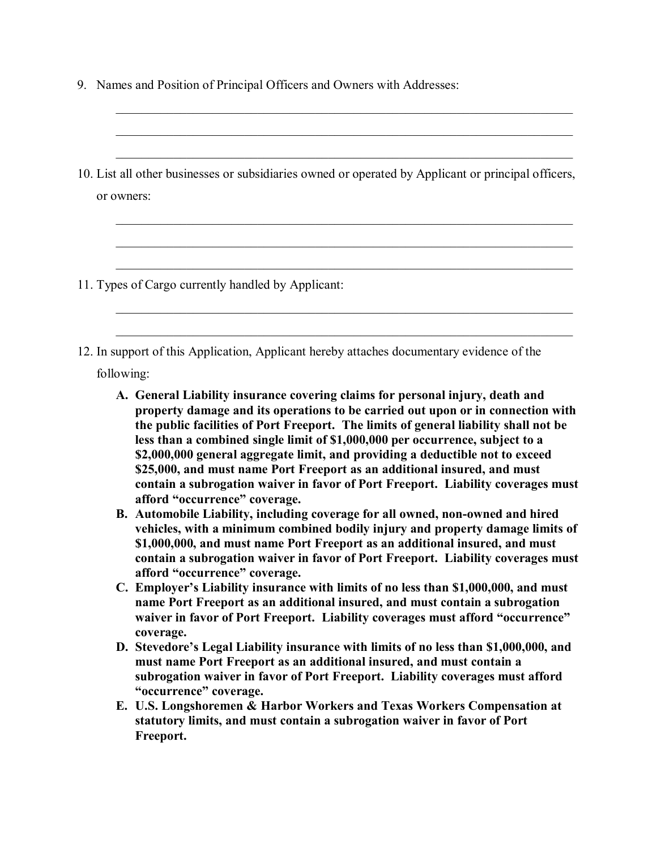| 9. Names and Position of Principal Officers and Owners with Addresses:                                                                                                                                                                                                                                                                                                                                                                                                                                                                                                                                                                                                                                                                                                                                                                                                                                                                                                                                                                                                                                                                                                                                                                                                                                                                                                                                                                                                                                                                              |
|-----------------------------------------------------------------------------------------------------------------------------------------------------------------------------------------------------------------------------------------------------------------------------------------------------------------------------------------------------------------------------------------------------------------------------------------------------------------------------------------------------------------------------------------------------------------------------------------------------------------------------------------------------------------------------------------------------------------------------------------------------------------------------------------------------------------------------------------------------------------------------------------------------------------------------------------------------------------------------------------------------------------------------------------------------------------------------------------------------------------------------------------------------------------------------------------------------------------------------------------------------------------------------------------------------------------------------------------------------------------------------------------------------------------------------------------------------------------------------------------------------------------------------------------------------|
| 10. List all other businesses or subsidiaries owned or operated by Applicant or principal officers,<br>or owners:                                                                                                                                                                                                                                                                                                                                                                                                                                                                                                                                                                                                                                                                                                                                                                                                                                                                                                                                                                                                                                                                                                                                                                                                                                                                                                                                                                                                                                   |
| 11. Types of Cargo currently handled by Applicant:                                                                                                                                                                                                                                                                                                                                                                                                                                                                                                                                                                                                                                                                                                                                                                                                                                                                                                                                                                                                                                                                                                                                                                                                                                                                                                                                                                                                                                                                                                  |
| 12. In support of this Application, Applicant hereby attaches documentary evidence of the<br>following:                                                                                                                                                                                                                                                                                                                                                                                                                                                                                                                                                                                                                                                                                                                                                                                                                                                                                                                                                                                                                                                                                                                                                                                                                                                                                                                                                                                                                                             |
| A. General Liability insurance covering claims for personal injury, death and<br>property damage and its operations to be carried out upon or in connection with<br>the public facilities of Port Freeport. The limits of general liability shall not be<br>less than a combined single limit of \$1,000,000 per occurrence, subject to a<br>\$2,000,000 general aggregate limit, and providing a deductible not to exceed<br>\$25,000, and must name Port Freeport as an additional insured, and must<br>contain a subrogation waiver in favor of Port Freeport. Liability coverages must<br>afford "occurrence" coverage.<br>B. Automobile Liability, including coverage for all owned, non-owned and hired<br>vehicles, with a minimum combined bodily injury and property damage limits of<br>\$1,000,000, and must name Port Freeport as an additional insured, and must<br>contain a subrogation waiver in favor of Port Freeport. Liability coverages must<br>afford "occurrence" coverage.<br>C. Employer's Liability insurance with limits of no less than \$1,000,000, and must<br>name Port Freeport as an additional insured, and must contain a subrogation<br>waiver in favor of Port Freeport. Liability coverages must afford "occurrence"<br>coverage.<br>D. Stevedore's Legal Liability insurance with limits of no less than \$1,000,000, and<br>must name Port Freeport as an additional insured, and must contain a<br>subrogation waiver in favor of Port Freeport. Liability coverages must afford<br>"occurrence" coverage. |
| E. U.S. Longshoremen & Harbor Workers and Texas Workers Compensation at<br>statutowy limits, and must contain a subvogation waiver in favor of Dort                                                                                                                                                                                                                                                                                                                                                                                                                                                                                                                                                                                                                                                                                                                                                                                                                                                                                                                                                                                                                                                                                                                                                                                                                                                                                                                                                                                                 |

**statutory limits, and must contain a subrogation waiver in favor of Port Freeport.**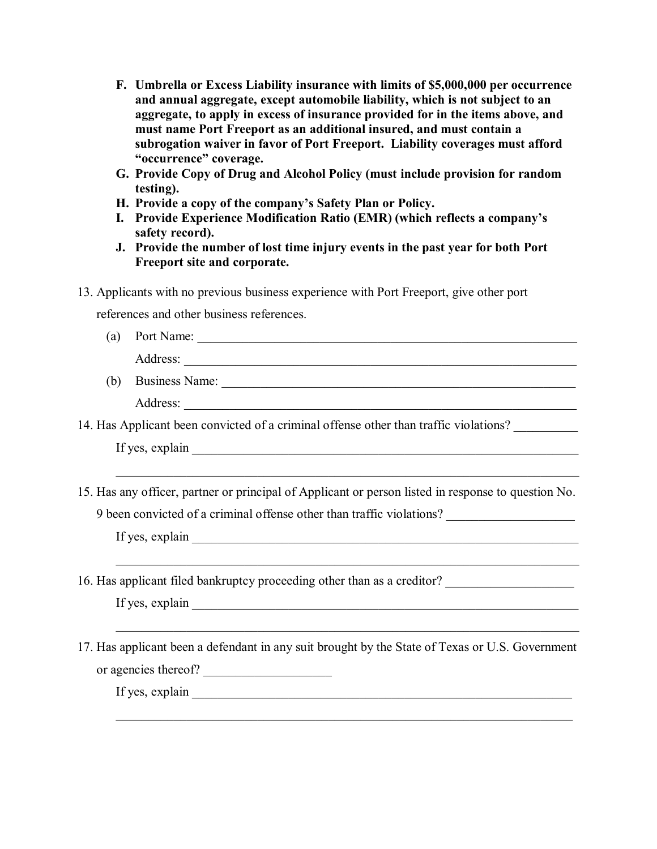- **F. Umbrella or Excess Liability insurance with limits of \$5,000,000 per occurrence and annual aggregate, except automobile liability, which is not subject to an aggregate, to apply in excess of insurance provided for in the items above, and must name Port Freeport as an additional insured, and must contain a subrogation waiver in favor of Port Freeport. Liability coverages must afford "occurrence" coverage.**
- **G. Provide Copy of Drug and Alcohol Policy (must include provision for random testing).**
- **H. Provide a copy of the company's Safety Plan or Policy.**
- **I. Provide Experience Modification Ratio (EMR) (which reflects a company's safety record).**
- **J. Provide the number of lost time injury events in the past year for both Port Freeport site and corporate.**
- 13. Applicants with no previous business experience with Port Freeport, give other port

references and other business references.

| (a) |                                                                                                                                                                                                                                |  |  |  |  |  |
|-----|--------------------------------------------------------------------------------------------------------------------------------------------------------------------------------------------------------------------------------|--|--|--|--|--|
|     |                                                                                                                                                                                                                                |  |  |  |  |  |
| (b) | Business Name: 1988 Manner 2008 and 2008 Manner 2008 and 2008 Manner 2008 and 2008 Manner 2008 and 2008 Manner 2008 Manner 2008 and 2008 Manner 2008 and 2008 Manner 2008 Manner 2008 Manner 2008 Manner 2008 Manner 2008 Mann |  |  |  |  |  |
|     |                                                                                                                                                                                                                                |  |  |  |  |  |
|     | 14. Has Applicant been convicted of a criminal offense other than traffic violations?                                                                                                                                          |  |  |  |  |  |
|     |                                                                                                                                                                                                                                |  |  |  |  |  |
|     | 15. Has any officer, partner or principal of Applicant or person listed in response to question No.                                                                                                                            |  |  |  |  |  |
|     | 9 been convicted of a criminal offense other than traffic violations?                                                                                                                                                          |  |  |  |  |  |
|     |                                                                                                                                                                                                                                |  |  |  |  |  |
|     | 16. Has applicant filed bankruptcy proceeding other than as a creditor? ____________________________                                                                                                                           |  |  |  |  |  |
|     |                                                                                                                                                                                                                                |  |  |  |  |  |
|     | 17. Has applicant been a defendant in any suit brought by the State of Texas or U.S. Government                                                                                                                                |  |  |  |  |  |
|     |                                                                                                                                                                                                                                |  |  |  |  |  |

\_\_\_\_\_\_\_\_\_\_\_\_\_\_\_\_\_\_\_\_\_\_\_\_\_\_\_\_\_\_\_\_\_\_\_\_\_\_\_\_\_\_\_\_\_\_\_\_\_\_\_\_\_\_\_\_\_\_\_\_\_\_\_\_\_\_\_\_\_\_\_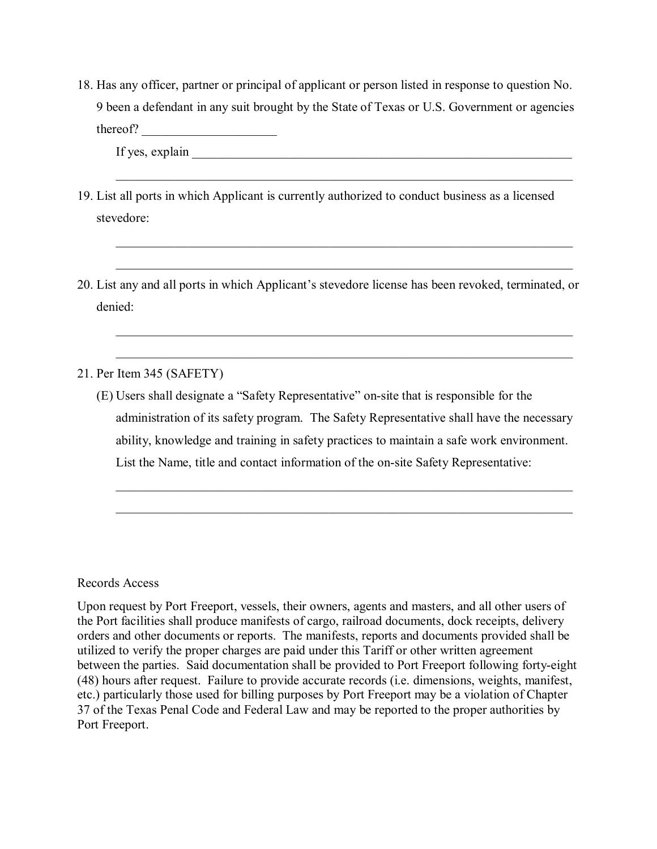18. Has any officer, partner or principal of applicant or person listed in response to question No. 9 been a defendant in any suit brought by the State of Texas or U.S. Government or agencies thereof? \_\_\_\_\_\_\_\_\_\_\_\_\_\_\_\_\_\_\_\_\_

\_\_\_\_\_\_\_\_\_\_\_\_\_\_\_\_\_\_\_\_\_\_\_\_\_\_\_\_\_\_\_\_\_\_\_\_\_\_\_\_\_\_\_\_\_\_\_\_\_\_\_\_\_\_\_\_\_\_\_\_\_\_\_\_\_\_\_\_\_\_\_

 $\mathcal{L}_\text{max} = \mathcal{L}_\text{max} = \mathcal{L}_\text{max} = \mathcal{L}_\text{max} = \mathcal{L}_\text{max} = \mathcal{L}_\text{max} = \mathcal{L}_\text{max} = \mathcal{L}_\text{max} = \mathcal{L}_\text{max} = \mathcal{L}_\text{max} = \mathcal{L}_\text{max} = \mathcal{L}_\text{max} = \mathcal{L}_\text{max} = \mathcal{L}_\text{max} = \mathcal{L}_\text{max} = \mathcal{L}_\text{max} = \mathcal{L}_\text{max} = \mathcal{L}_\text{max} = \mathcal{$ 

\_\_\_\_\_\_\_\_\_\_\_\_\_\_\_\_\_\_\_\_\_\_\_\_\_\_\_\_\_\_\_\_\_\_\_\_\_\_\_\_\_\_\_\_\_\_\_\_\_\_\_\_\_\_\_\_\_\_\_\_\_\_\_\_\_\_\_\_\_\_\_

If yes, explain

- 19. List all ports in which Applicant is currently authorized to conduct business as a licensed stevedore:
- 20. List any and all ports in which Applicant's stevedore license has been revoked, terminated, or denied:

21. Per Item 345 (SAFETY)

(E) Users shall designate a "Safety Representative" on-site that is responsible for the administration of its safety program. The Safety Representative shall have the necessary ability, knowledge and training in safety practices to maintain a safe work environment. List the Name, title and contact information of the on-site Safety Representative:

## Records Access

Upon request by Port Freeport, vessels, their owners, agents and masters, and all other users of the Port facilities shall produce manifests of cargo, railroad documents, dock receipts, delivery orders and other documents or reports. The manifests, reports and documents provided shall be utilized to verify the proper charges are paid under this Tariff or other written agreement between the parties. Said documentation shall be provided to Port Freeport following forty-eight (48) hours after request. Failure to provide accurate records (i.e. dimensions, weights, manifest, etc.) particularly those used for billing purposes by Port Freeport may be a violation of Chapter 37 of the Texas Penal Code and Federal Law and may be reported to the proper authorities by Port Freeport.